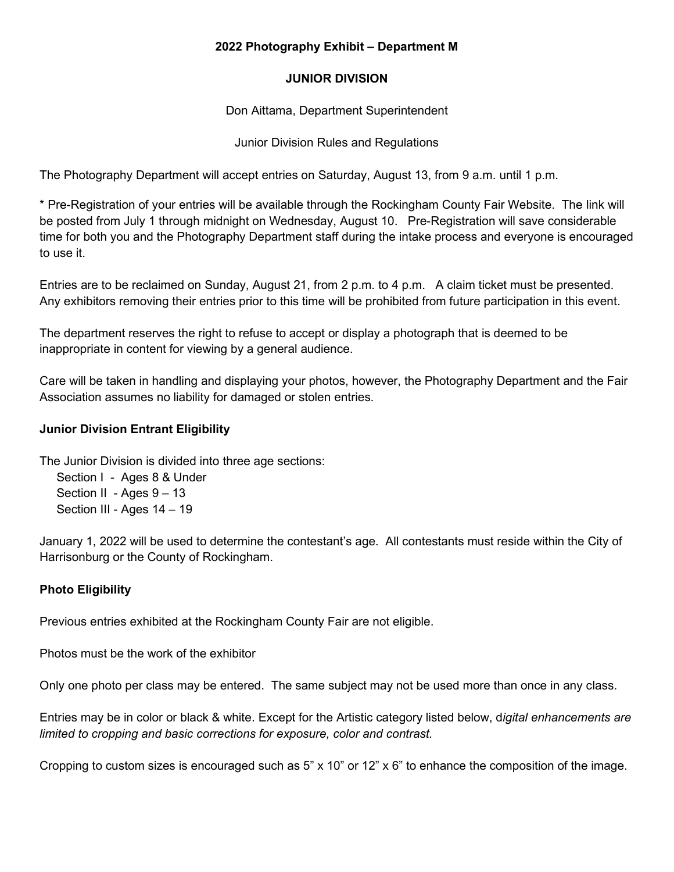### **2022 Photography Exhibit – Department M**

## **JUNIOR DIVISION**

Don Aittama, Department Superintendent

Junior Division Rules and Regulations

The Photography Department will accept entries on Saturday, August 13, from 9 a.m. until 1 p.m.

\* Pre-Registration of your entries will be available through the Rockingham County Fair Website. The link will be posted from July 1 through midnight on Wednesday, August 10. Pre-Registration will save considerable time for both you and the Photography Department staff during the intake process and everyone is encouraged to use it.

Entries are to be reclaimed on Sunday, August 21, from 2 p.m. to 4 p.m. A claim ticket must be presented. Any exhibitors removing their entries prior to this time will be prohibited from future participation in this event.

The department reserves the right to refuse to accept or display a photograph that is deemed to be inappropriate in content for viewing by a general audience.

Care will be taken in handling and displaying your photos, however, the Photography Department and the Fair Association assumes no liability for damaged or stolen entries.

# **Junior Division Entrant Eligibility**

The Junior Division is divided into three age sections:

 Section I - Ages 8 & Under Section II - Ages 9 - 13 Section III - Ages 14 – 19

January 1, 2022 will be used to determine the contestant's age. All contestants must reside within the City of Harrisonburg or the County of Rockingham.

# **Photo Eligibility**

Previous entries exhibited at the Rockingham County Fair are not eligible.

Photos must be the work of the exhibitor

Only one photo per class may be entered. The same subject may not be used more than once in any class.

Entries may be in color or black & white. Except for the Artistic category listed below, d*igital enhancements are limited to cropping and basic corrections for exposure, color and contrast.* 

Cropping to custom sizes is encouraged such as 5" x 10" or 12" x 6" to enhance the composition of the image.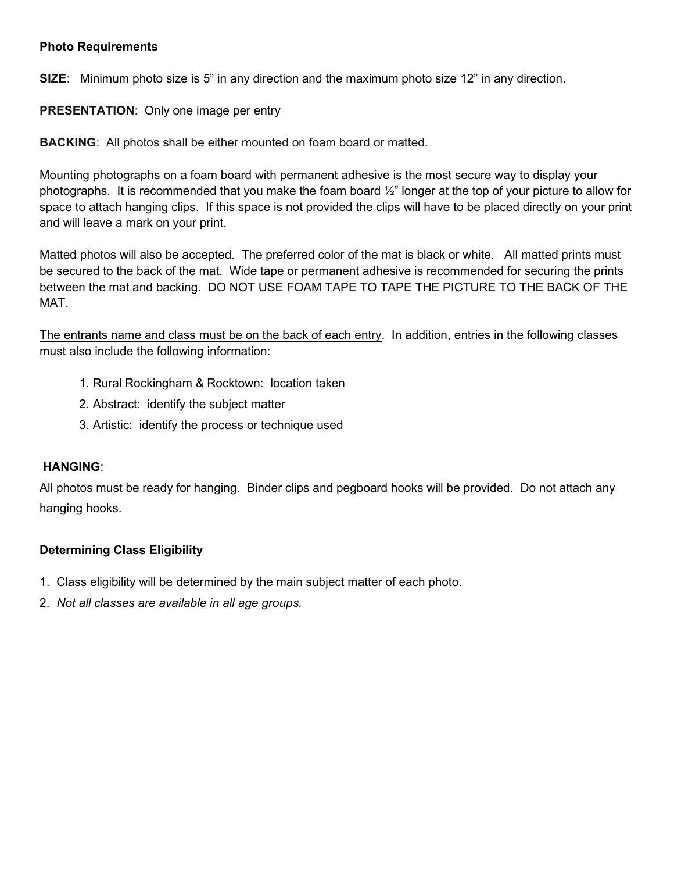### **Photo Requirements**

**SIZE**: Minimum photo size is 5" in any direction and the maximum photo size 12" in any direction.

**PRESENTATION**: Only one image per entry

**BACKING**: All photos shall be either mounted on foam board or matted.

Mounting photographs on a foam board with permanent adhesive is the most secure way to display your photographs. It is recommended that you make the foam board  $\frac{1}{2}$ " longer at the top of your picture to allow for space to attach hanging clips. If this space is not provided the clips will have to be placed directly on your print and will leave a mark on your print.

Matted photos will also be accepted. The preferred color of the mat is black or white. All matted prints must be secured to the back of the mat. Wide tape or permanent adhesive is recommended for securing the prints between the mat and backing. DO NOT USE FOAM TAPE TO TAPE THE PICTURE TO THE BACK OF THE MAT.

The entrants name and class must be on the back of each entry. In addition, entries in the following classes must also include the following information:

- 1. Rural Rockingham & Rocktown: location taken
- 2. Abstract: identify the subject matter
- 3. Artistic: identify the process or technique used

### **HANGING**:

All photos must be ready for hanging. Binder clips and pegboard hooks will be provided. Do not attach any hanging hooks.

# **Determining Class Eligibility**

- 1. Class eligibility will be determined by the main subject matter of each photo.
- 2. *Not all classes are available in all age groups.*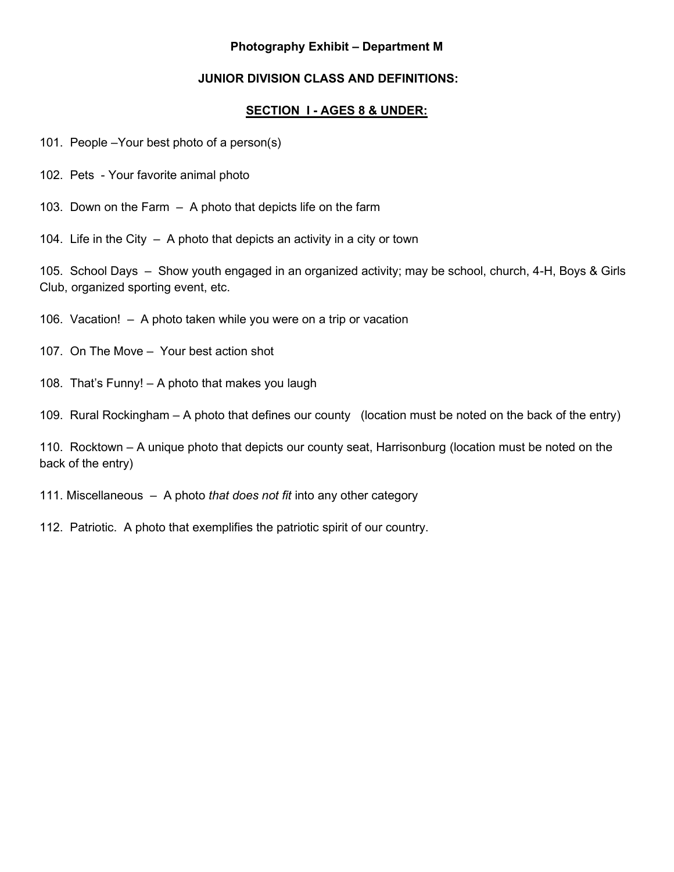### **Photography Exhibit – Department M**

# **JUNIOR DIVISION CLASS AND DEFINITIONS:**

## **SECTION I - AGES 8 & UNDER:**

- 101. People –Your best photo of a person(s)
- 102. Pets Your favorite animal photo
- 103. Down on the Farm A photo that depicts life on the farm
- 104. Life in the City A photo that depicts an activity in a city or town

105. School Days – Show youth engaged in an organized activity; may be school, church, 4-H, Boys & Girls Club, organized sporting event, etc.

- 106. Vacation! A photo taken while you were on a trip or vacation
- 107. On The Move Your best action shot
- 108. That's Funny! A photo that makes you laugh

109. Rural Rockingham – A photo that defines our county (location must be noted on the back of the entry)

110. Rocktown – A unique photo that depicts our county seat, Harrisonburg (location must be noted on the back of the entry)

- 111. Miscellaneous A photo *that does not fit* into any other category
- 112. Patriotic.A photo that exemplifies the patriotic spirit of our country.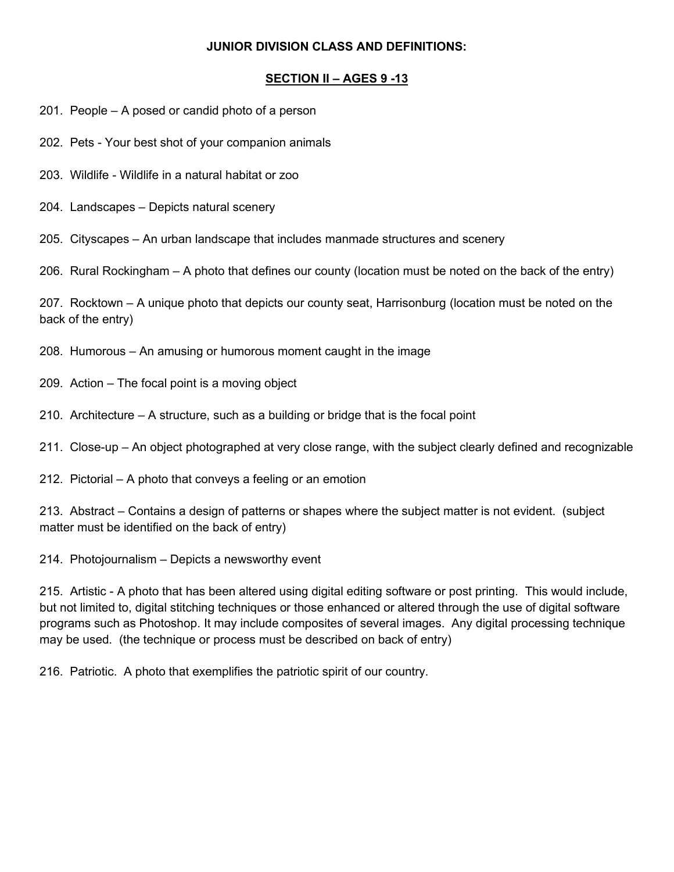### **JUNIOR DIVISION CLASS AND DEFINITIONS:**

# **SECTION II – AGES 9 -13**

- 201. People A posed or candid photo of a person
- 202. Pets Your best shot of your companion animals
- 203. Wildlife Wildlife in a natural habitat or zoo
- 204. Landscapes Depicts natural scenery

205. Cityscapes – An urban landscape that includes manmade structures and scenery

206. Rural Rockingham – A photo that defines our county (location must be noted on the back of the entry)

207. Rocktown – A unique photo that depicts our county seat, Harrisonburg (location must be noted on the back of the entry)

- 208. Humorous An amusing or humorous moment caught in the image
- 209. Action The focal point is a moving object
- 210. Architecture A structure, such as a building or bridge that is the focal point
- 211. Close-up An object photographed at very close range, with the subject clearly defined and recognizable
- 212. Pictorial A photo that conveys a feeling or an emotion

213. Abstract – Contains a design of patterns or shapes where the subject matter is not evident. (subject matter must be identified on the back of entry)

214. Photojournalism – Depicts a newsworthy event

215. Artistic - A photo that has been altered using digital editing software or post printing. This would include, but not limited to, digital stitching techniques or those enhanced or altered through the use of digital software programs such as Photoshop. It may include composites of several images. Any digital processing technique may be used. (the technique or process must be described on back of entry)

216. Patriotic.A photo that exemplifies the patriotic spirit of our country.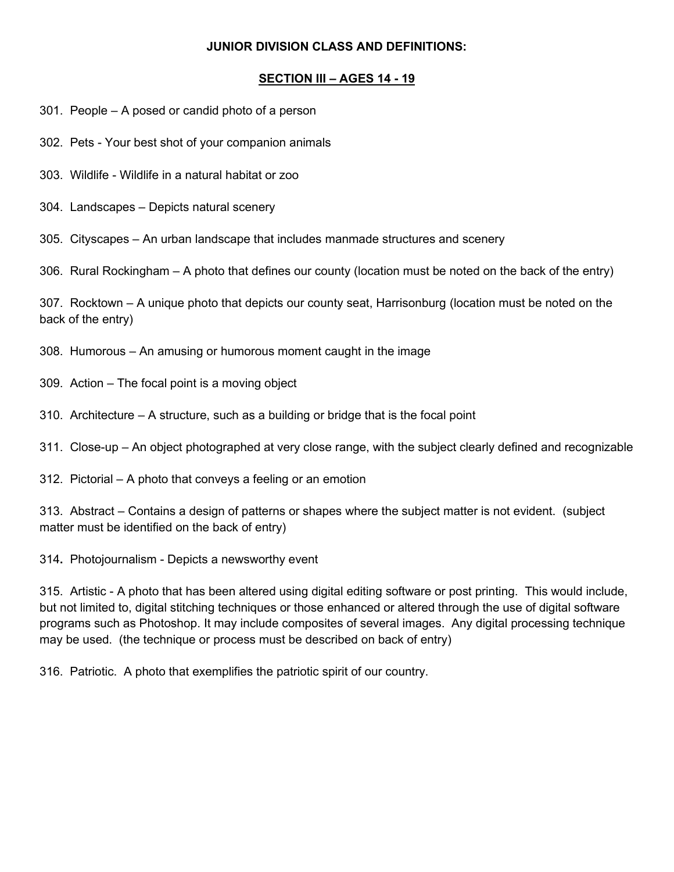### **JUNIOR DIVISION CLASS AND DEFINITIONS:**

## **SECTION III – AGES 14 - 19**

- 301. People A posed or candid photo of a person
- 302. Pets Your best shot of your companion animals
- 303. Wildlife Wildlife in a natural habitat or zoo
- 304. Landscapes Depicts natural scenery

305. Cityscapes – An urban landscape that includes manmade structures and scenery

306. Rural Rockingham – A photo that defines our county (location must be noted on the back of the entry)

307. Rocktown – A unique photo that depicts our county seat, Harrisonburg (location must be noted on the back of the entry)

- 308. Humorous An amusing or humorous moment caught in the image
- 309. Action The focal point is a moving object
- 310. Architecture A structure, such as a building or bridge that is the focal point
- 311. Close-up An object photographed at very close range, with the subject clearly defined and recognizable
- 312. Pictorial A photo that conveys a feeling or an emotion

313. Abstract – Contains a design of patterns or shapes where the subject matter is not evident. (subject matter must be identified on the back of entry)

314**.** Photojournalism - Depicts a newsworthy event

315. Artistic - A photo that has been altered using digital editing software or post printing. This would include, but not limited to, digital stitching techniques or those enhanced or altered through the use of digital software programs such as Photoshop. It may include composites of several images. Any digital processing technique may be used. (the technique or process must be described on back of entry)

316. Patriotic.A photo that exemplifies the patriotic spirit of our country.